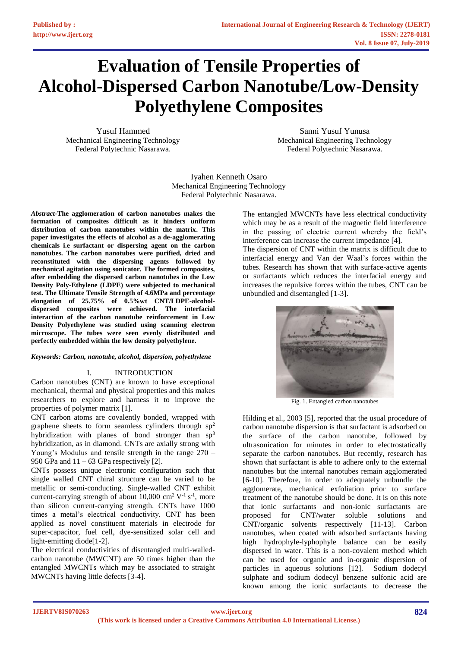# **Evaluation of Tensile Properties of Alcohol-Dispersed Carbon Nanotube/Low-Density Polyethylene Composites**

Yusuf Hammed Mechanical Engineering Technology Federal Polytechnic Nasarawa.

Sanni Yusuf Yunusa Mechanical Engineering Technology Federal Polytechnic Nasarawa.

Iyahen Kenneth Osaro Mechanical Engineering Technology Federal Polytechnic Nasarawa.

*Abstract-***The agglomeration of carbon nanotubes makes the formation of composites difficult as it hinders uniform distribution of carbon nanotubes within the matrix. This paper investigates the effects of alcohol as a de-agglomerating chemicals i.e surfactant or dispersing agent on the carbon nanotubes. The carbon nanotubes were purified, dried and reconstituted with the dispersing agents followed by mechanical agitation using sonicator. The formed composites, after embedding the dispersed carbon nanotubes in the Low Density Poly-Ethylene (LDPE) were subjected to mechanical test. The Ultimate Tensile Strength of 4.6MPa and percentage elongation of 25.75% of 0.5%wt CNT/LDPE-alcoholdispersed composites were achieved. The interfacial interaction of the carbon nanotube reinforcement in Low Density Polyethylene was studied using scanning electron microscope. The tubes were seen evenly distributed and perfectly embedded within the low density polyethylene.**

# *Keywords: Carbon, nanotube, alcohol, dispersion, polyethylene*

# I. INTRODUCTION

Carbon nanotubes (CNT) are known to have exceptional mechanical, thermal and physical properties and this makes researchers to explore and harness it to improve the properties of polymer matrix [1].

CNT carbon atoms are covalently bonded, wrapped with graphene sheets to form seamless cylinders through  $sp<sup>2</sup>$ hybridization with planes of bond stronger than  $sp<sup>3</sup>$ hybridization, as in diamond. CNTs are axially strong with Young's Modulus and tensile strength in the range 270 – 950 GPa and 11 – 63 GPa respectively [2].

CNTs possess unique electronic configuration such that single walled CNT chiral structure can be varied to be metallic or semi-conducting. Single-walled CNT exhibit current-carrying strength of about  $10,000$  cm<sup>2</sup> V<sup>-1</sup> s<sup>-1</sup>, more than silicon current-carrying strength. CNTs have 1000 times a metal's electrical conductivity. CNT has been applied as novel constituent materials in electrode for super-capacitor, fuel cell, dye-sensitized solar cell and light-emitting diode[1-2].

The electrical conductivities of disentangled multi-walledcarbon nanotube (MWCNT) are 50 times higher than the entangled MWCNTs which may be associated to straight MWCNTs having little defects [3-4].

The entangled MWCNTs have less electrical conductivity which may be as a result of the magnetic field interference in the passing of electric current whereby the field's interference can increase the current impedance [4].

The dispersion of CNT within the matrix is difficult due to interfacial energy and Van der Waal's forces within the tubes. Research has shown that with surface-active agents or surfactants which reduces the interfacial energy and increases the repulsive forces within the tubes, CNT can be unbundled and disentangled [1-3].



Fig. 1. Entangled carbon nanotubes

Hilding et al., 2003 [5], reported that the usual procedure of carbon nanotube dispersion is that surfactant is adsorbed on the surface of the carbon nanotube, followed by ultrasonication for minutes in order to electrostatically separate the carbon nanotubes. But recently, research has shown that surfactant is able to adhere only to the external nanotubes but the internal nanotubes remain agglomerated [6-10]. Therefore, in order to adequately unbundle the agglomerate, mechanical exfoliation prior to surface treatment of the nanotube should be done. It is on this note that ionic surfactants and non-ionic surfactants are proposed for CNT/water soluble solutions and CNT/organic solvents respectively [11-13]. Carbon nanotubes, when coated with adsorbed surfactants having high hydrophyle-lyphophyle balance can be easily dispersed in water. This is a non-covalent method which can be used for organic and in-organic dispersion of particles in aqueous solutions [12]. Sodium dodecyl sulphate and sodium dodecyl benzene sulfonic acid are known among the ionic surfactants to decrease the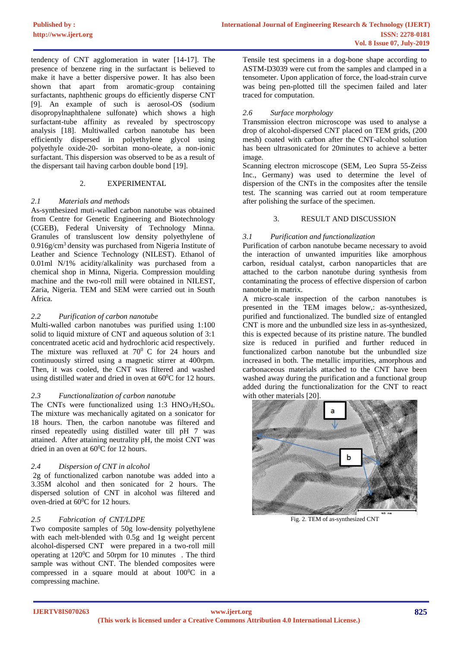tendency of CNT agglomeration in water [14-17]. The presence of benzene ring in the surfactant is believed to make it have a better dispersive power. It has also been shown that apart from aromatic-group containing surfactants, naphthenic groups do efficiently disperse CNT [9]. An example of such is aerosol-OS (sodium disopropylnaphthalene sulfonate) which shows a high surfactant-tube affinity as revealed by spectroscopy analysis [18]. Multiwalled carbon nanotube has been efficiently dispersed in polyethylene glycol using polyethyle oxide-20- sorbitan mono-oleate, a non-ionic surfactant. This dispersion was observed to be as a result of the dispersant tail having carbon double bond [19].

# 2. EXPERIMENTAL

# *2.1 Materials and methods*

As-synthesized muti-walled carbon nanotube was obtained from Centre for Genetic Engineering and Biotechnology (CGEB), Federal University of Technology Minna. Granules of transluscent low density polyethylene of 0.916g/cm<sup>3</sup> density was purchased from Nigeria Institute of Leather and Science Technology (NILEST). Ethanol of 0.01ml N/1% acidity/alkalinity was purchased from a chemical shop in Minna, Nigeria. Compression moulding machine and the two-roll mill were obtained in NILEST, Zaria, Nigeria. TEM and SEM were carried out in South Africa.

# *2.2 Purification of carbon nanotube*

Multi-walled carbon nanotubes was purified using 1:100 solid to liquid mixture of CNT and aqueous solution of 3:1 concentrated acetic acid and hydrochloric acid respectively. The mixture was refluxed at  $70^{\circ}$  C for 24 hours and continuously stirred using a magnetic stirrer at 400rpm. Then, it was cooled, the CNT was filtered and washed using distilled water and dried in oven at  $60^{\circ}$ C for 12 hours.

# *2.3 Functionalization of carbon nanotube*

The CNTs were functionalized using 1:3 HNO<sub>3</sub>/H<sub>2</sub>SO<sub>4</sub>. The mixture was mechanically agitated on a sonicator for 18 hours. Then, the carbon nanotube was filtered and rinsed repeatedly using distilled water till pH 7 was attained. After attaining neutrality pH, the moist CNT was dried in an oven at 60<sup>o</sup>C for 12 hours.

# *2.4 Dispersion of CNT in alcohol*

2g of functionalized carbon nanotube was added into a 3.35M alcohol and then sonicated for 2 hours. The dispersed solution of CNT in alcohol was filtered and oven-dried at 60<sup>0</sup>C for 12 hours.

#### *2.5 Fabrication of CNT/LDPE*

Two composite samples of 50g low-density polyethylene with each melt-blended with 0.5g and 1g weight percent alcohol-dispersed CNT were prepared in a two-roll mill operating at 120<sup>0</sup>C and 50rpm for 10 minutes . The third sample was without CNT. The blended composites were compressed in a square mould at about  $100^{\circ}$ C in a compressing machine.

Tensile test specimens in a dog-bone shape according to ASTM-D3039 were cut from the samples and clamped in a tensometer. Upon application of force, the load-strain curve was being pen-plotted till the specimen failed and later traced for computation.

# *2.6 Surface morphology*

Transmission electron microscope was used to analyse a drop of alcohol-dispersed CNT placed on TEM grids, (200 mesh) coated with carbon after the CNT-alcohol solution has been ultrasonicated for 20minutes to achieve a better image.

Scanning electron microscope (SEM, Leo Supra 55-Zeiss Inc., Germany) was used to determine the level of dispersion of the CNTs in the composites after the tensile test. The scanning was carried out at room temperature after polishing the surface of the specimen.

# 3. RESULT AND DISCUSSION

# *3.1 Purification and functionalization*

Purification of carbon nanotube became necessary to avoid the interaction of unwanted impurities like amorphous carbon, residual catalyst, carbon nanoparticles that are attached to the carbon nanotube during synthesis from contaminating the process of effective dispersion of carbon nanotube in matrix.

A micro-scale inspection of the carbon nanotubes is presented in the TEM images below,: as-synthesized, purified and functionalized. The bundled size of entangled CNT is more and the unbundled size less in as-synthesized, this is expected because of its pristine nature. The bundled size is reduced in purified and further reduced in functionalized carbon nanotube but the unbundled size increased in both. The metallic impurities, amorphous and carbonaceous materials attached to the CNT have been washed away during the purification and a functional group added during the functionalization for the CNT to react with other materials [20].



Fig. 2. TEM of as-synthesized CNT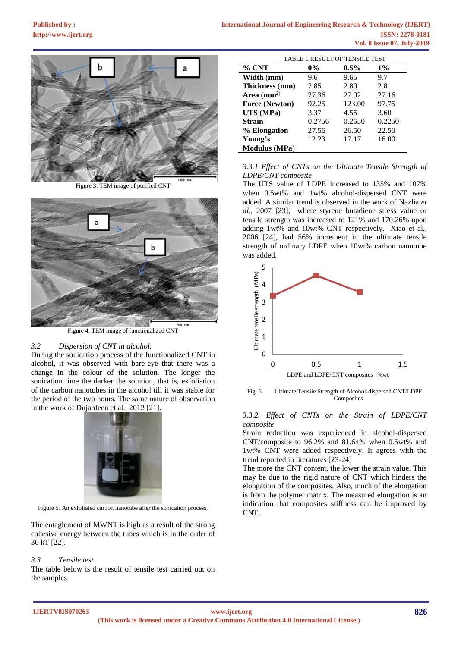

Figure 3. TEM image of purified CNT



Figure 4. TEM image of functionalized CNT

#### *3.2 Dispersion of CNT in alcohol.*

During the sonication process of the functionalized CNT in alcohol, it was observed with bare-eye that there was a change in the colour of the solution. The longer the sonication time the darker the solution, that is, exfoliation of the carbon nanotubes in the alcohol till it was stable for the period of the two hours. The same nature of observation in the work of Dujardeen et al., 2012 [21].



Figure 5. An exfoliated carbon nanotube after the sonication process.

The entaglement of MWNT is high as a result of the strong cohesive energy between the tubes which is in the order of 36 kT [22].

#### *3.3 Tensile test*

The table below is the result of tensile test carried out on the samples

| TABLE I. RESULT OF TENSILE TEST |        |         |        |
|---------------------------------|--------|---------|--------|
| $%$ CNT                         | $0\%$  | $0.5\%$ | $1\%$  |
| Width (mm)                      | 9.6    | 9.65    | 9.7    |
| Thickness (mm)                  | 2.85   | 2.80    | 2.8    |
| Area $(mm2)$                    | 27.36  | 27.02   | 27.16  |
| <b>Force (Newton)</b>           | 92.25  | 123.00  | 97.75  |
| UTS (MPa)                       | 3.37   | 4.55    | 3.60   |
| <b>Strain</b>                   | 0.2756 | 0.2650  | 0.2250 |
| % Elongation                    | 27.56  | 26.50   | 22.50  |
| Young's                         | 12.23  | 17.17   | 16.00  |
| <b>Modulus</b> (MPa)            |        |         |        |

*3.3.1 Effect of CNTs on the Ultimate Tensile Strength of LDPE/CNT composite* 

The UTS value of LDPE increased to 135% and 107% when 0.5wt% and 1wt% alcohol-dispersed CNT were added. A similar trend is observed in the work of Nazlia *et al.*, 2007 [23], where styrene butadiene stress value or tensile strength was increased to 121% and 170.26% upon adding 1wt% and 10wt% CNT respectively. Xiao et al*.,* 2006 [24], had 56% increment in the ultimate tensile strength of ordinary LDPE when 10wt% carbon nanotube was added.



Fig. 6. Ultimate Tensile Strength of Alcohol-dispersed CNT/LDPE Composites

#### *3.3.2. Effect of CNTs on the Strain of LDPE/CNT composite*

Strain reduction was experienced in alcohol-dispersed CNT/composite to 96.2% and 81.64% when 0.5wt% and 1wt% CNT were added respectively. It agrees with the trend reported in literatures [23-24]

The more the CNT content, the lower the strain value. This may be due to the rigid nature of CNT which hinders the elongation of the composites. Also, much of the elongation is from the polymer matrix. The measured elongation is an indication that composites stiffness can be improved by CNT.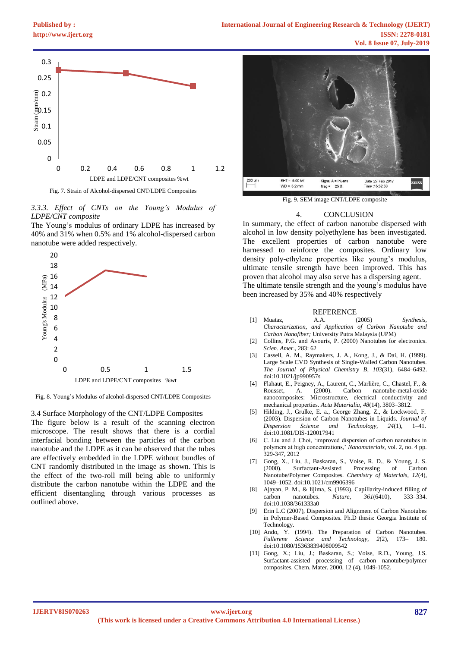

Fig. 7. Strain of Alcohol-dispersed CNT/LDPE Composites

*3.3.3. Effect of CNTs on the Young's Modulus of LDPE/CNT composite* 

The Young's modulus of ordinary LDPE has increased by 40% and 31% when 0.5% and 1% alcohol-dispersed carbon nanotube were added respectively.



Fig. 8. Young's Modulus of alcohol-dispersed CNT/LDPE Composites

3.4 Surface Morphology of the CNT/LDPE Composites

The figure below is a result of the scanning electron microscope. The result shows that there is a cordial interfacial bonding between the particles of the carbon nanotube and the LDPE as it can be observed that the tubes are effectively embedded in the LDPE without bundles of CNT randomly distributed in the image as shown. This is the effect of the two-roll mill being able to uniformly distribute the carbon nanotube within the LDPE and the efficient disentangling through various processes as outlined above.



Fig. 9. SEM image CNT/LDPE composite

#### 4. CONCLUSION

In summary, the effect of carbon nanotube dispersed with alcohol in low density polyethylene has been investigated. The excellent properties of carbon nanotube were harnessed to reinforce the composites. Ordinary low density poly-ethylene properties like young's modulus, ultimate tensile strength have been improved. This has proven that alcohol may also serve has a dispersing agent. The ultimate tensile strength and the young's modulus have been increased by 35% and 40% respectively

- REFERENCE<br>A.A. (2005) [1] Muataz, A.A. (2005) *Synthesis, Characterization, and Application of Carbon Nanotube and Carbon Nanofiber;* University Putra Malaysia (UPM)
- [2] Collins, P.G. and Avouris, P. (2000) Nanotubes for electronics. *Scien*. *Amer*., 283: 62
- [3] Cassell, A. M., Raymakers, J. A., Kong, J., & Dai, H. (1999). Large Scale CVD Synthesis of Single-Walled Carbon Nanotubes. *The Journal of Physical Chemistry B*, *103*(31), 6484–6492. doi:10.1021/jp990957s
- [4] Flahaut, E., Peigney, A., Laurent, C., Marlière, C., Chastel, F., & A. (2000). Carbon nanotube-metal-oxide nanocomposites: Microstructure, electrical conductivity and mechanical properties. *Acta Materialia*, *48*(14), 3803–3812.
- [5] Hilding, J., Grulke, E. a., George Zhang, Z., & Lockwood, F. (2003). Dispersion of Carbon Nanotubes in Liquids. *Journal of Dispersion Science and Technology*, *24*(1), 1–41. doi:10.1081/DIS-120017941
- [6] C. Liu and J. Choi, 'improved dispersion of carbon nanotubes in polymers at high concentrations,' *Nanomaterials*, vol. 2, no. 4 pp. 329-347, 2012
- [7] Gong, X., Liu, J., Baskaran, S., Voise, R. D., & Young, J. S. (2000). Surfactant-Assisted Processing of Carbon Nanotube/Polymer Composites. *Chemistry of Materials*, *12*(4), 1049–1052. doi:10.1021/cm9906396
- [8] Ajayan, P. M., & Iijima, S. (1993). Capillarity-induced filling of carbon nanotubes. *Nature*, *361*(6410), 333–334. doi:10.1038/361333a0
- [9] Erin L.C (2007), Dispersion and Alignment of Carbon Nanotubes in Polymer-Based Composites. Ph.D thesis: Georgia Institute of Technology.
- [10] Ando, Y. (1994). The Preparation of Carbon Nanotubes. *Fullerene Science and Technology*, *2*(2), 173– 180. doi:10.1080/15363839408009542
- [11] Gong, X.; Liu, J.; Baskaran, S.; Voise, R.D., Young, J.S. Surfactant-assisted processing of carbon nanotube/polymer composites. Chem. Mater. 2000, 12 (4), 1049-1052.